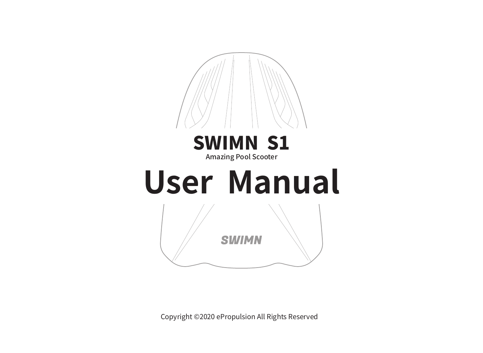

Copyright ©2020 ePropulsion All Rights Reserved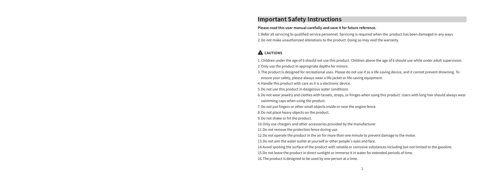#### **Important Safety Instructions**

#### **Please read this user manual carefully and save it for future reference.**

1.Refer all servicing to qualified service personnel. Servicing is required when the product has been damaged in any ways. 2.Do not make unauthorized alterations to the product. Doing so may void the warranty.

#### **A** CAUTIONS

1.Children under the age of 6 should not use this product. Children above the age of 6 should use while under adult supervision. 2.Only use the product in appropriate depths for minors.

3.The product is designed for recreational uses. Please do not use it as a life-saving device, and it cannot prevent drowning. To ensure your safety, please always wear a life jacket or life-saving equipment.

4.Handle this product with care as it is a electronic device.

5.Do not use this product in dangerous water conditions.

6.Do not wear jewelry and clothes with tassels, straps, or fringes when using this product. Users with long hair should always wear

swimming caps when using the product.

7.Do not put fingers or other small objects inside or near the engine fence.

8.Do not place heavy objects on the product.

9.Do not shake or hit the product.

10.Only use chargers and other accessories provided by the manufacturer.

11.Do not remove the protection fence during use.

12.Do not operate the product in the air for more than one minute to prevent damage to the motor.

13.Do not aim the water outlet at yourself or other people's eyes and face.

14.Avoid spoiling the surface of the product with volatile or corrosive substances including but not limited to the gasoline.

15.Do not leave the product in direct sunlight or immerse it in water for extended periods of time.

16.The product is designed to be used by one person at a time.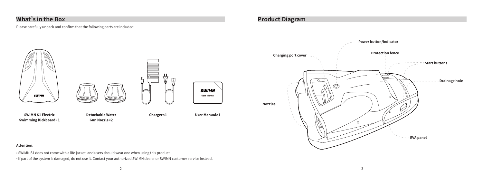## **What's in the Box**

Please carefully unpack and confirm that the following parts are included:



### **Product Diagram**



#### **Attention:**

• SWIMN S1 does not come with a life jacket, and users should wear one when using this product.

• If part of the system is damaged, do not use it. Contact your authorized SWIMN dealer or SWIMN customer service instead.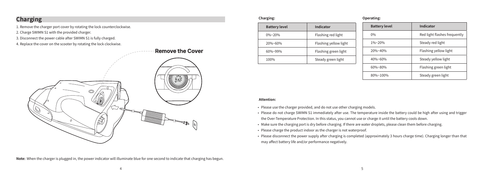### **Charging**

1. Remove the charger port cover by rotating the lock counterclockwise.

- 2. Charge SWIMN S1 with the provided charger.
- 3. Disconnect the power cable after SWIMN S1 is fully charged.
- 4. Replace the cover on the scooter by rotating the lock clockwise.



**Note:** When the charger is plugged in, the power indicator will illuminate blue for one second to indicate that charging has begun.

| Charging:            |                       |  | <b>Operating:</b>    |
|----------------------|-----------------------|--|----------------------|
| <b>Battery level</b> | Indicator             |  | <b>Batte</b>         |
| $0\%$ ~20%           | Flashing red light    |  | 0%                   |
| 20%~60%              | Flashing yellow light |  | 1%20                 |
| $60\% - 99\%$        | Flashing green light  |  | $20%$ ~              |
| 100%                 | Steady green light    |  | 40%~                 |
|                      |                       |  | $\sim$ $\sim$ $\sim$ |

| <b>Battery level</b> | Indicator                    |  |
|----------------------|------------------------------|--|
| 0%                   | Red light flashes frequently |  |
| $1\%$ ~20%           | Steady red light             |  |
| 20%~40%              | Flashing yellow light        |  |
| $40\% - 60\%$        | Steady yellow light          |  |
| $60\% - 80\%$        | Flashing green light         |  |
| 80%~100%             | Steady green light           |  |

#### **Attention:**

- Please use the charger provided, and do not use other charging models.
- Please do not charge SWIMN S1 immediately after use. The temperature inside the battery could be high after using and trigger the Over-Temperature Protection. In this status, you cannot use or charge it until the battery cools down.
- Make sure the charging port is dry before charging. If there are water droplets, please clean them before charging.
- Please charge the product indoor as the charger is not waterproof.
- Please disconnect the power supply after charging is completed (approximately 3 hours charge time). Charging longer than that may affect battery life and/or performance negatively.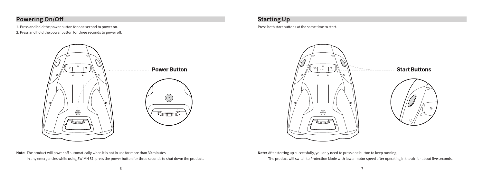# **Powering On/Off**

1. Press and hold the power button for one second to power on. 2. Press and hold the power button for three seconds to power off.



**Note:** The product will power off automatically when it is not in use for more than 30 minutes. In any emergencies while using SWIMN S1, press the power button for three seconds to shut down the product.

### **Starting Up**

Press both start buttons at the same time to start.



**Note:** After starting up successfully, you only need to press one button to keep running. The product will switch to Protection Mode with lower motor speed after operating in the air for about five seconds.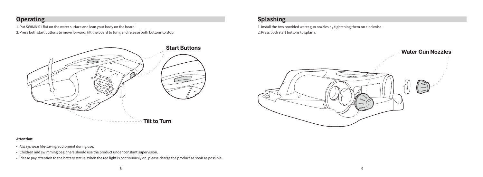# **Operating**

1.Put SWIMN S1 flat on the water surface and lean your body on the board.

2.Press both start buttons to move forward, tilt the board to turn, and release both buttons to stop.



# **Splashing**

1.Install the two provided water gun nozzles by tightening them on clockwise. 2.Press both start buttons to splash.



#### **Attention:**

- Always wear life-saving equipment during use.
- Children and swimming beginners should use the product under constant supervision.
- Please pay attention to the battery status. When the red light is continuously on, please charge the product as soon as possible.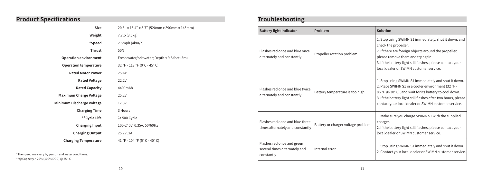# **Product Specifications**

| Size                          | 20.5" x 15.4" x 5.7" (520mm x 390mm x 145mm) |  |
|-------------------------------|----------------------------------------------|--|
| Weight                        | 7.7lb (3.5kg)                                |  |
| *Speed                        | $2.5$ mph $(4km/h)$                          |  |
| <b>Thrust</b>                 | 50N                                          |  |
| <b>Operation environment</b>  | Fresh water/saltwater; Depth < 9.8 feet (3m) |  |
| <b>Operation temperature</b>  | 32 °F - 113 °F (0°C - 45°C)                  |  |
| <b>Rated Motor Power</b>      | 250W                                         |  |
| <b>Rated Voltage</b>          | 22.2V                                        |  |
| <b>Rated Capacity</b>         | 4400mAh                                      |  |
| <b>Maximum Charge Voltage</b> | 25.2V                                        |  |
| Minimum Discharge Voltage     | 17.5V                                        |  |
| <b>Charging Time</b>          | 3 Hours                                      |  |
| **Cycle Life                  | $\geqslant$ 500 Cycle                        |  |
| <b>Charging Input</b>         | 100-240V; 0.35A; 50/60Hz                     |  |
| <b>Charging Output</b>        | 25.2V; 2A                                    |  |
| <b>Charging Temperature</b>   | 41 °F - 104 °F (5°C - 40°C)                  |  |
|                               |                                              |  |

\*The speed may vary by person and water conditions. \*\*@ Capacity > 70% (100% DOD) @ 25 ° C

# **Troubleshooting**

| <b>Battery light indicator</b>                                            | Problem                            | Solution                                                                                                                                                                                                                                                                                       |
|---------------------------------------------------------------------------|------------------------------------|------------------------------------------------------------------------------------------------------------------------------------------------------------------------------------------------------------------------------------------------------------------------------------------------|
| Flashes red once and blue once<br>alternately and constantly              | Propeller rotation problem         | 1. Stop using SWIMN S1 immediately, shut it down, and<br>check the propeller.<br>2. If there are foreign objects around the propeller,<br>please remove them and try again.<br>3. If the battery light still flashes, please contact your<br>local dealer or SWIMN customer service.           |
| Flashes red once and blue twice<br>alternately and constantly             | Battery temperature is too high    | 1. Stop using SWIMN S1 immediately and shut it down.<br>2. Place SWIMN S1 in a cooler environment (32 °F -<br>86 °F /0-30° C), and wait for its battery to cool down.<br>3. If the battery light still flashes after two hours, please<br>contact your local dealer or SWIMN customer service. |
| Flashes red once and blue three<br>times alternately and constantly       | Battery or charger voltage problem | 1. Make sure you charge SWIMN S1 with the supplied<br>charger.<br>2. If the battery light still flashes, please contact your<br>local dealer or SWIMN customer service.                                                                                                                        |
| Flashes red once and green<br>several times alternately and<br>constantly | Internal error                     | 1. Stop using SWIMN S1 immediately and shut it down.<br>2. Contact your local dealer or SWIMN customer service.                                                                                                                                                                                |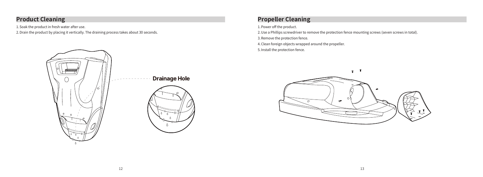## **Product Cleaning**

1.Soak the product in fresh water after use. 2.Drain the product by placing it vertically. The draining process takes about 30 seconds.



**Drainage Hole** 



# **Propeller Cleaning**

1.Power off the product.

2.Use a Phillips screwdriver to remove the protection fence mounting screws (seven screws in total).

3.Remove the protection fence.

4.Clean foreign objects wrapped around the propeller.

5.Install the protection fence.

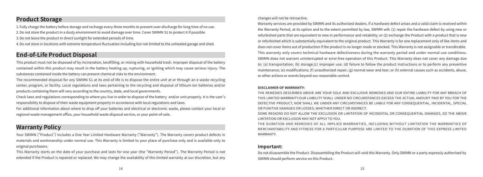### **Product Storage**

1.Fully charge the battery before storage and recharge every three months to prevent over-discharge for long time of no use. 2.Do not store the product in a dusty environment to avoid damage over time. Cover SWIMN S1 to protect it if possible. 3.Do not leave the product in direct sunlight for extended periods of time.

4.Do not store in locations with extreme temperature fluctuation including but not limited to the unheated garage and shed.

### **End-of-Life Product Disposal**

This product must not be disposed of by incineration, landfilling, or mixing with household trash. Improper disposal of the battery contained within this product may result in the battery heating up, rupturing, or igniting which may cause serious injury. The substances contained inside the battery can present chemical risks to the environment.

The recommended disposal for any SWIMN S1 at its end-of-life is to dispose the entire unit at or through an e-waste recycling center, program, or facility. Local regulations and laws pertaining to the recycling and disposal of lithium-ion batteries and/or products containing them will vary according to the country, state, and local governments.

Check laws and regulations corresponding to where you live in order to dispose of the battery and/or unit properly. It is the user's responsibility to dispose of their waste equipment properly in accordance with local regulations and laws.

For additional information about where to drop off your batteries and electrical or electronic waste, please contact your local or regional waste management office, your household waste disposal service, or your point-of-sale.

### **Warranty Policy**

Your SWIMN ("Product") includes a One Year Limited Hardware Warranty ("Warranty"). The Warranty covers product defects in materials and workmanship under normal use. This Warranty is limited to your place of purchase only and is available only to original purchasers.

This Warranty starts on the date of your purchase and lasts for one year (the "Warranty Period"). The Warranty Period is not extended if the Product is repaired or replaced. We may change the availability of this limited warranty at our discretion, but any

#### changes will not be retroactive.

Warranty services are provided by SWIMN and its authorized dealers. If a hardware defect arises and a valid claim is received within the Warranty Period, at its option and to the extent permitted by law, SWIMN will: (1) repair the hardware defect by using new or refurbished parts that are equivalent to new in performance and reliability; or (2) exchange the Product with a product that is new or refurbished which is substantially equivalent to the original product. This Warranty is for one replacement only of like-items and does not cover items out of production if the product is no longer made or stocked. This Warranty is not assignable or transferable. This warranty only covers technical hardware defectiveness during the warranty period and under normal use conditions. SWIMN does not warrant uninterrupted or error-free operation of this Product. This Warranty does not cover any damage due to: (a) transportation; (b) storage;(c) improper use; (d) failure to follow the product instructions or to perform any preventive maintenance; (e) modifications; (f) unauthorized repair; (g) normal wear and tear; or (h) external causes such as accidents, abuse, or other actions or events beyond our reasonable control.

#### **DISCLAIMER OF WARRANTY:**

THE REMEDIES DESCRIBED ABOVE ARE YOUR SOLE AND EXCLUSIVE REMEDIES AND OUR ENTIRE LIABILITY FOR ANY BREACH OF THIS LIMITED WARRANTY.OUR LIABILITY SHALL UNDER NO CIRCUMSTANCES EXCEED THE ACTUAL AMOUNT PAID BY YOU FOR THE DEFECTIVE PRODUCT, NOR SHALL WE UNDER ANY CIRCUMSTANCES BE LIABLE FOR ANY CONSEQUENTIAL, INCIDENTAL, SPECIAL OR PUNITIVE DAMAGES OR LOSSES, WHETHER DIRECT OR INDIRECT.

SOME REGIONS DO NOT ALLOW THE EXCLUSION OR LIMITATION OF INCIDENTAL OR CONSEQUENTIAL DAMAGES, SO THE ABOVE LIMITATION OR EXCLUSION MAY NOT APPLY TO YOU.

THE DURATION AND REMEDIES OF ALL IMPLIED WARRANTIES, INCLUDING WITHOUT LIMITATION THE WARRANTIES OF MERCHANTABILITY AND FITNESS FOR A PARTICULAR PURPOSE ARE LIMITED TO THE DURATION OF THIS EXPRESS LIMITED **WARRANTY** 

#### **Important:**

Do not disassemble the Product. Disassembling the Product will void this Warranty. Only SWIMN or a party expressly authorized by SWIMN should perform service on this Product.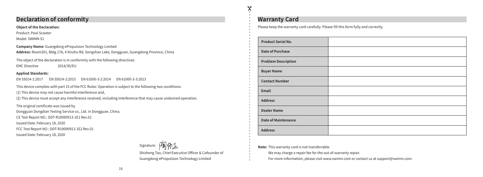### **Declaration of conformity**

**Object of the Declaration:**

Product: Pool Scooter

Model: SWIMN S1

**Company Name:** Guangdong ePropulsion Technology Limited **Address:** Room201, Bldg.17A, 4 Xinzhu Rd, Songshan Lake, Dongguan, Guangdong Province, China

The object of the declaration is in conformity with the following directives:

EMC Directive 2014/30/EU

#### **Applied Standards:**

EN 55014-1:2017 EN 55014-2:2015 EN 61000-3-2:2014 EN 61000-3-3:2013

This device complies with part 15 of the FCC Rules: Operation is subject to the following two conditions: (1) This device may not cause harmful interference and,

(2) This device must accept any interference received, including interference that may cause undesired operation.

The original certificate was issued by

Dongguan Dongdian Testing Service co., Ltd. in Dongguan, China.

CE Test Report NO.: DDT-R19090913-1E1 Rev.01

Issued Date: February 18, 2020

FCC Test Report NO.: DDT-R19090913-1E2 Rev.01

Issued Date: February 18, 2020

Signature:

Shizheng Tao, Chief Executive Officer & Cofounder of Guangdong ePropulsion Technology Limited

### **Warranty Card**

 $\Delta \rho$ Х

Please keep the warranty card carefully. Please fill this form fully and correctly.

| <b>Product Serial No.</b>  |  |
|----------------------------|--|
| <b>Date of Purchase</b>    |  |
| <b>Problem Description</b> |  |
| <b>Buyer Name</b>          |  |
| <b>Contact Number</b>      |  |
| Email                      |  |
| <b>Address</b>             |  |
| <b>Dealer Name</b>         |  |
| <b>Date of Maintenance</b> |  |
| <b>Address</b>             |  |

#### **Note:** This warranty card is not transferrable.

We may charge a repair fee for the out-of-warranty repair.

For more information, please visit www.swimn.com or contact us at support@swimn.com.